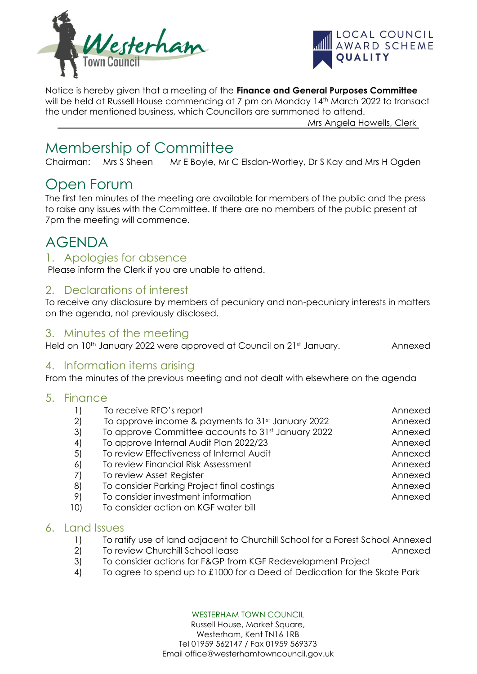



Notice is hereby given that a meeting of the **Finance and General Purposes Committee** will be held at Russell House commencing at 7 pm on Monday 14<sup>th</sup> March 2022 to transact the under mentioned business, which Councillors are summoned to attend.

Mrs Angela Howells, Clerk

# Membership of Committee

Chairman: Mrs S Sheen Mr E Boyle, Mr C Elsdon-Wortley, Dr S Kay and Mrs H Ogden

# Open Forum

The first ten minutes of the meeting are available for members of the public and the press to raise any issues with the Committee. If there are no members of the public present at 7pm the meeting will commence.

# AGENDA

## 1. Apologies for absence

Please inform the Clerk if you are unable to attend.

## 2. Declarations of interest

To receive any disclosure by members of pecuniary and non-pecuniary interests in matters on the agenda, not previously disclosed.

# 3. Minutes of the meeting

Held on 10<sup>th</sup> January 2022 were approved at Council on 21st January. Annexed

### 4. Information items arising

From the minutes of the previous meeting and not dealt with elsewhere on the agenda

### 5. Finance

|     | To receive RFO's report                            | Annexed |
|-----|----------------------------------------------------|---------|
| 2)  | To approve income & payments to 31st January 2022  | Annexed |
| 3)  | To approve Committee accounts to 31st January 2022 | Annexed |
| 4)  | To approve Internal Audit Plan 2022/23             | Annexed |
| 5)  | To review Effectiveness of Internal Audit          | Annexed |
| 6)  | To review Financial Risk Assessment                | Annexed |
| 7)  | To review Asset Register                           | Annexed |
| 8)  | To consider Parking Project final costings         | Annexed |
| 9)  | To consider investment information                 | Annexed |
| 10) | To consider action on KGF water bill               |         |

### 6. Land Issues

- 1) To ratify use of land adjacent to Churchill School for a Forest School Annexed
- 2) To review Churchill School lease Annexed
- 3) To consider actions for F&GP from KGF Redevelopment Project
- 4) To agree to spend up to £1000 for a Deed of Dedication for the Skate Park

WESTERHAM TOWN COUNCIL

Russell House, Market Square, Westerham, Kent TN16 1RB Tel 01959 562147 / Fax 01959 569373 Email office@westerhamtowncouncil.gov.uk